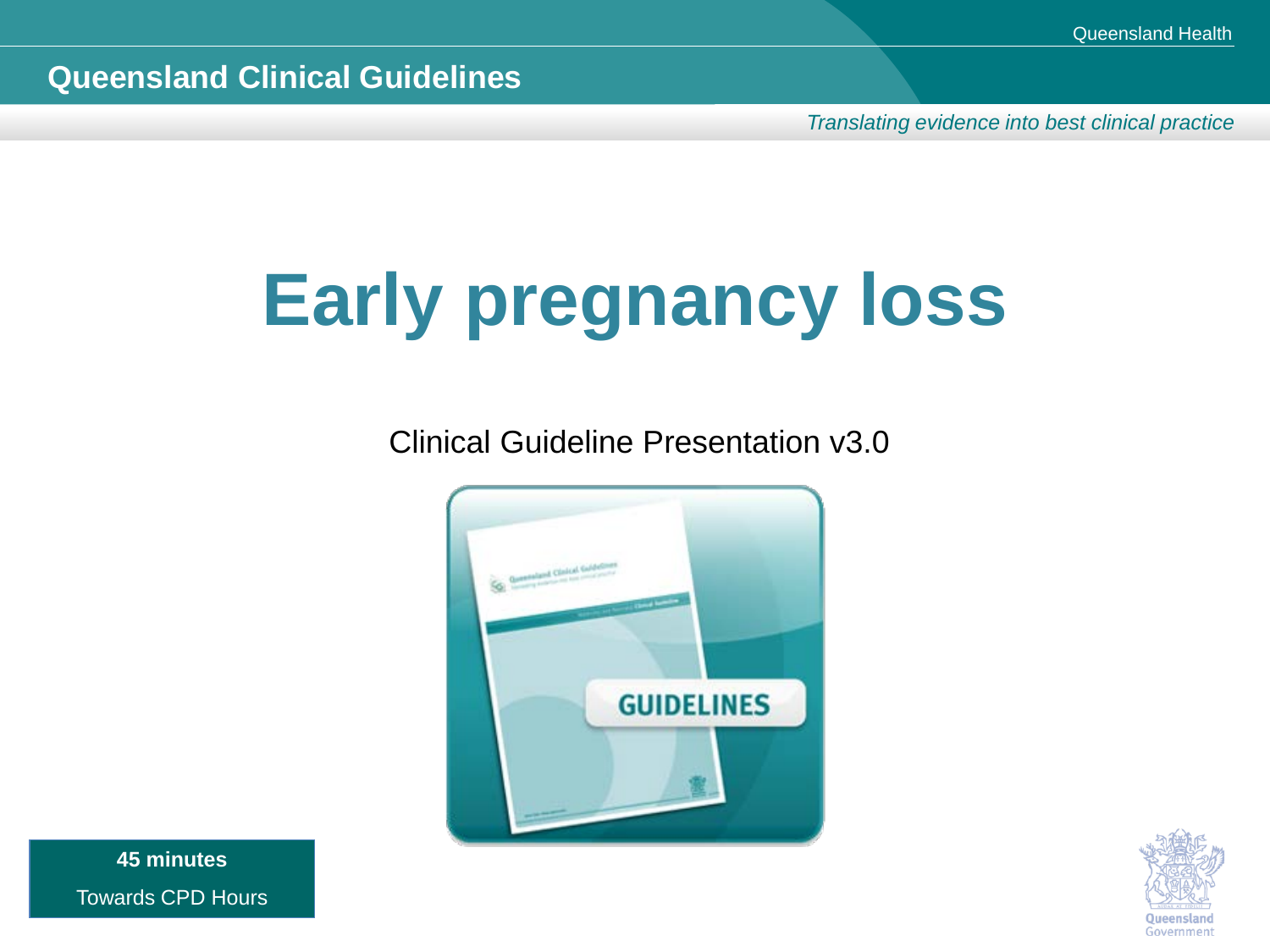*Translating evidence into best clinical practice*

# **Early pregnancy loss**

Clinical Guideline Presentation v3.0





**45 minutes** Towards CPD Hours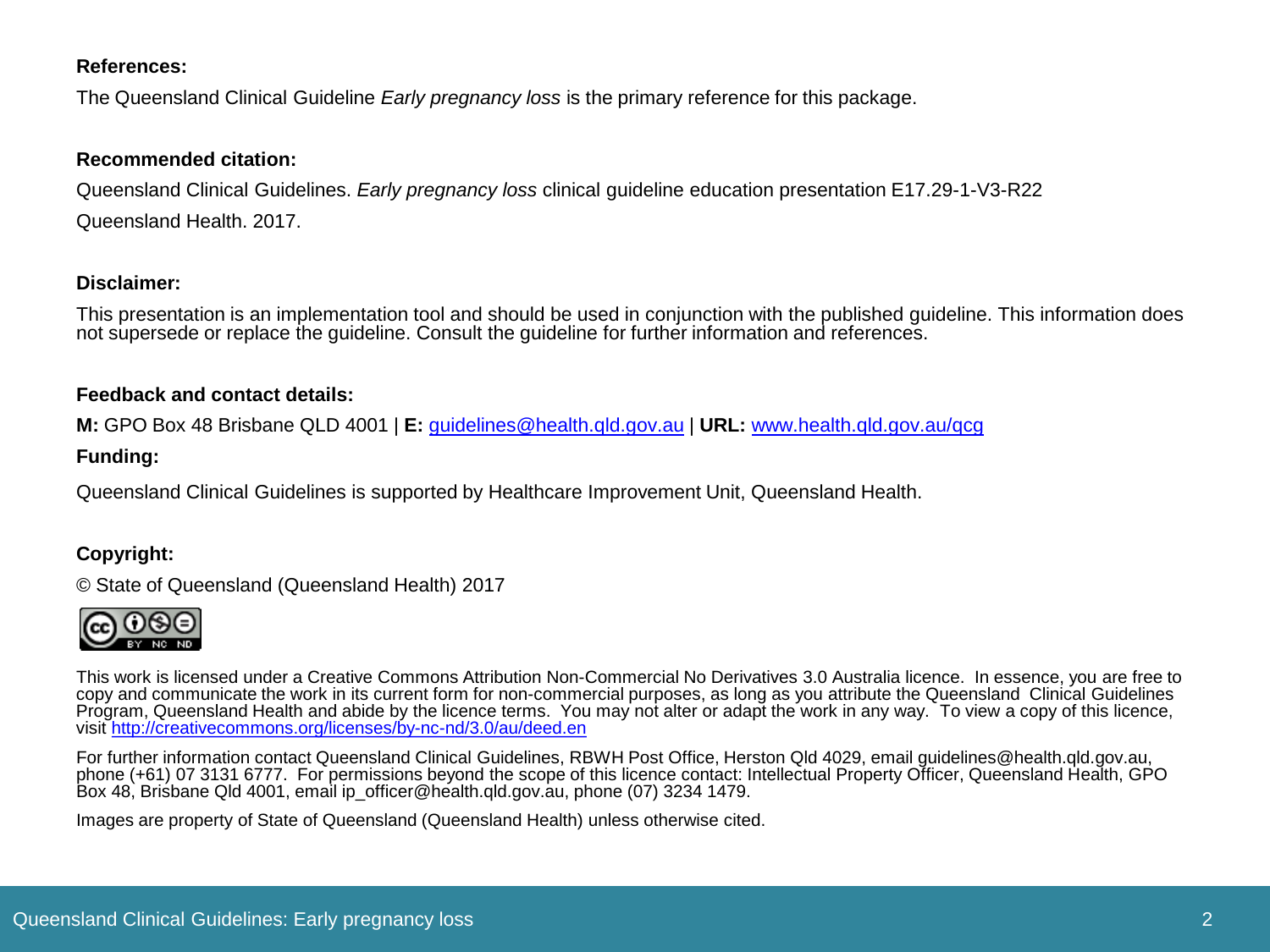#### **References:**

The Queensland Clinical Guideline *Early pregnancy loss* is the primary reference for this package.

#### **Recommended citation:**

Queensland Clinical Guidelines. *Early pregnancy loss* clinical guideline education presentation E17.29-1-V3-R22 Queensland Health. 2017.

#### **Disclaimer:**

This presentation is an implementation tool and should be used in conjunction with the published guideline. This information does not supersede or replace the guideline. Consult the guideline for further information and references.

#### **Feedback and contact details:**

**M:** GPO Box 48 Brisbane QLD 4001 | **E:** [guidelines@health.qld.gov.au](mailto:guidelines@health.qld.gov.au) | **URL:** [www.health.qld.gov.au/qcg](http://www.health.qld.gov.au/qcg)

#### **Funding:**

Queensland Clinical Guidelines is supported by Healthcare Improvement Unit, Queensland Health.

#### **Copyright:**

© State of Queensland (Queensland Health) 2017



This work is licensed under a Creative Commons Attribution Non-Commercial No Derivatives 3.0 Australia licence. In essence, you are free to copy and communicate the work in its current form for non-commercial purposes, as long as you attribute the Queensland Clinical Guidelines Program, Queensland Health and abide by the licence terms. You may not alter or adapt the work in any way. To view a copy of this licence, visit<http://creativecommons.org/licenses/by-nc-nd/3.0/au/deed.en>

For further information contact Queensland Clinical Guidelines, RBWH Post Office, Herston Qld 4029, email guidelines@health.qld.gov.au, phone (+61) 07 3131 6777. For permissions beyond the scope of this licence contact: Intellectual Property Officer, Queensland Health, GPO Box 48, Brisbane Qld 4001, email ip\_officer@health.qld.gov.au, phone (07) 3234 1479.

Images are property of State of Queensland (Queensland Health) unless otherwise cited.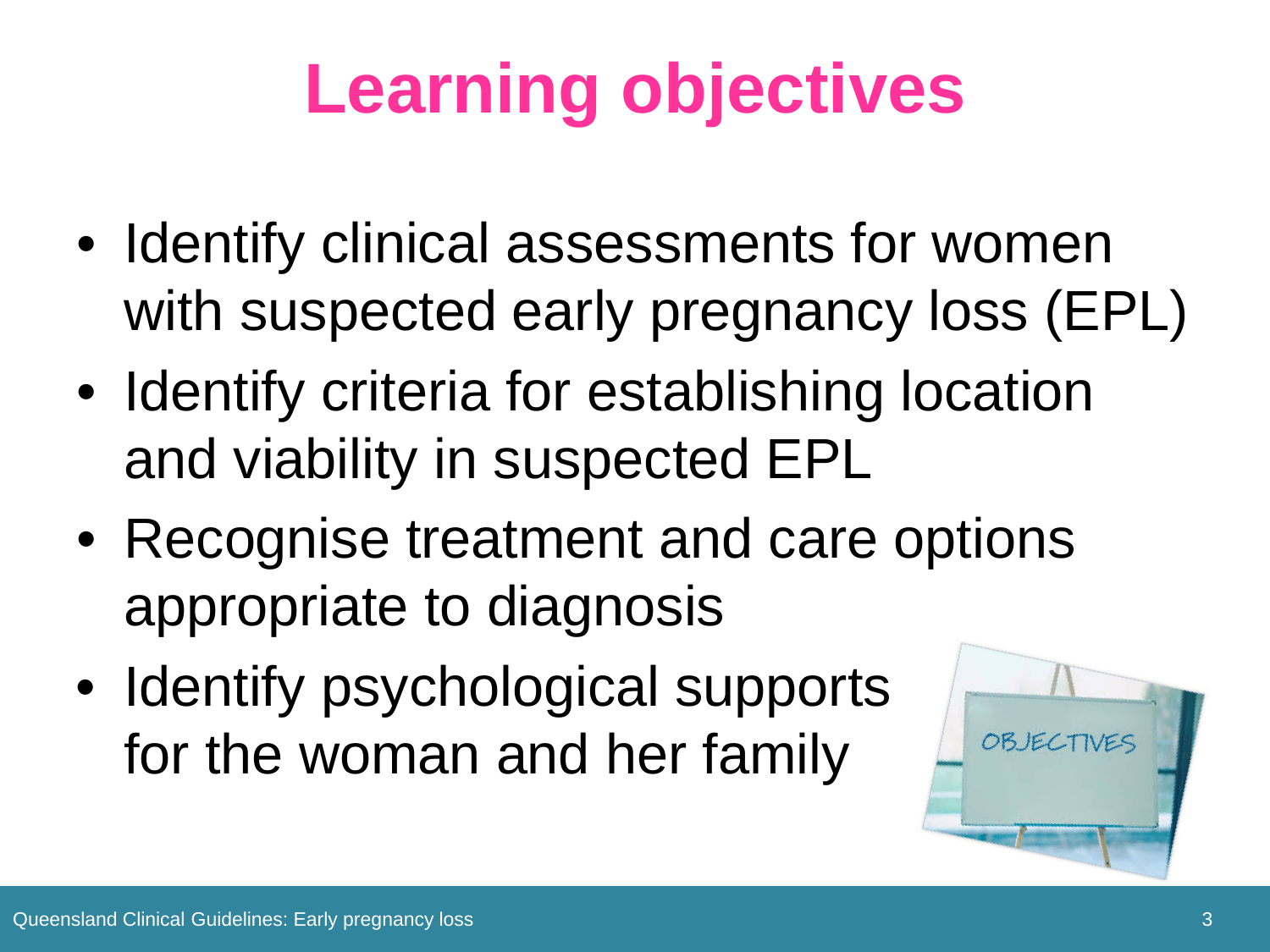# **Learning objectives**

- Identify clinical assessments for women with suspected early pregnancy loss (EPL)
- Identify criteria for establishing location and viability in suspected EPL
- Recognise treatment and care options appropriate to diagnosis
- Identify psychological supports for the woman and her family

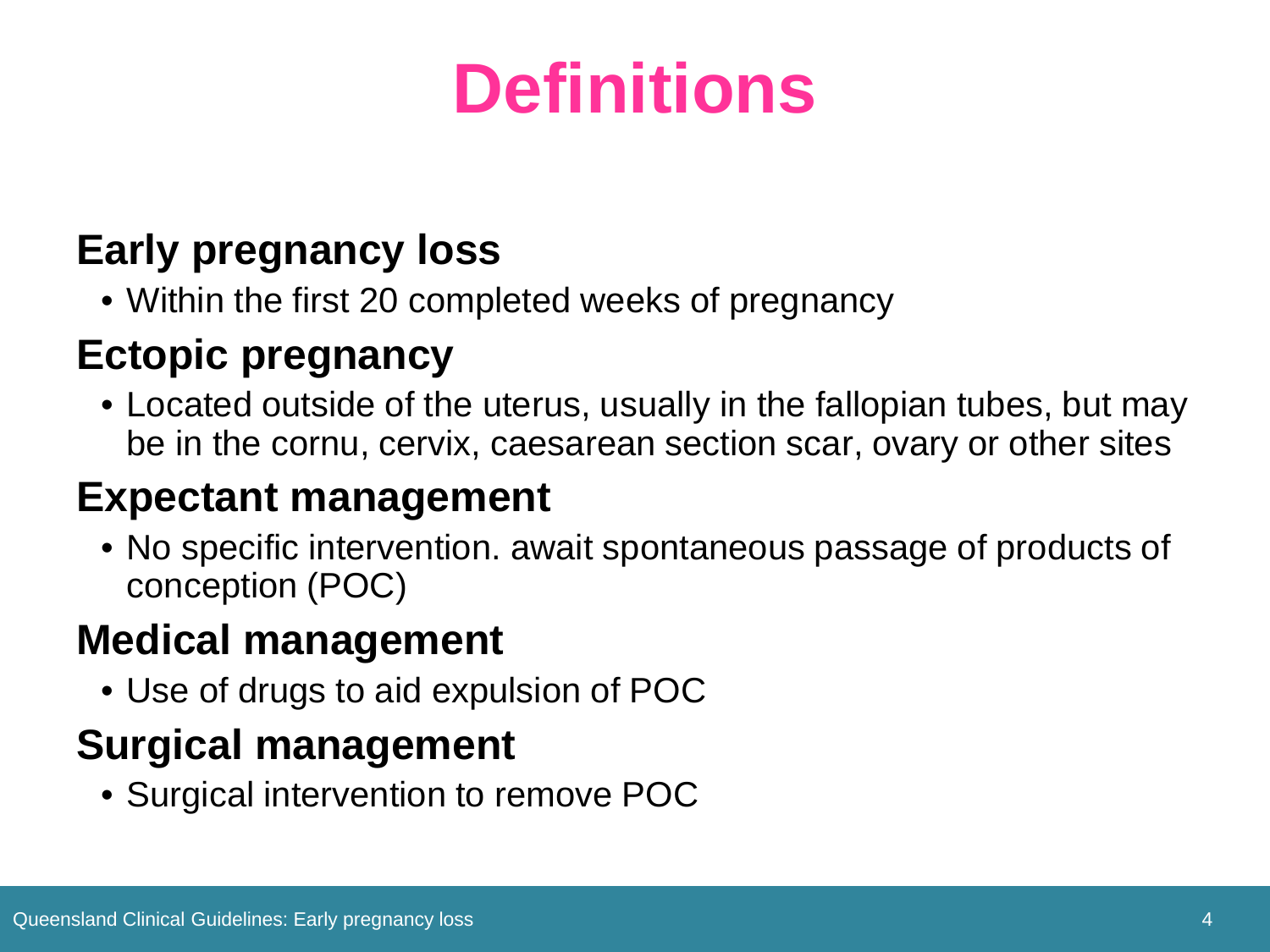## **Definitions**

### **Early pregnancy loss**

• Within the first 20 completed weeks of pregnancy

### **Ectopic pregnancy**

• Located outside of the uterus, usually in the fallopian tubes, but may be in the cornu, cervix, caesarean section scar, ovary or other sites

### **Expectant management**

• No specific intervention. await spontaneous passage of products of conception (POC)

### **Medical management**

• Use of drugs to aid expulsion of POC

### **Surgical management**

• Surgical intervention to remove POC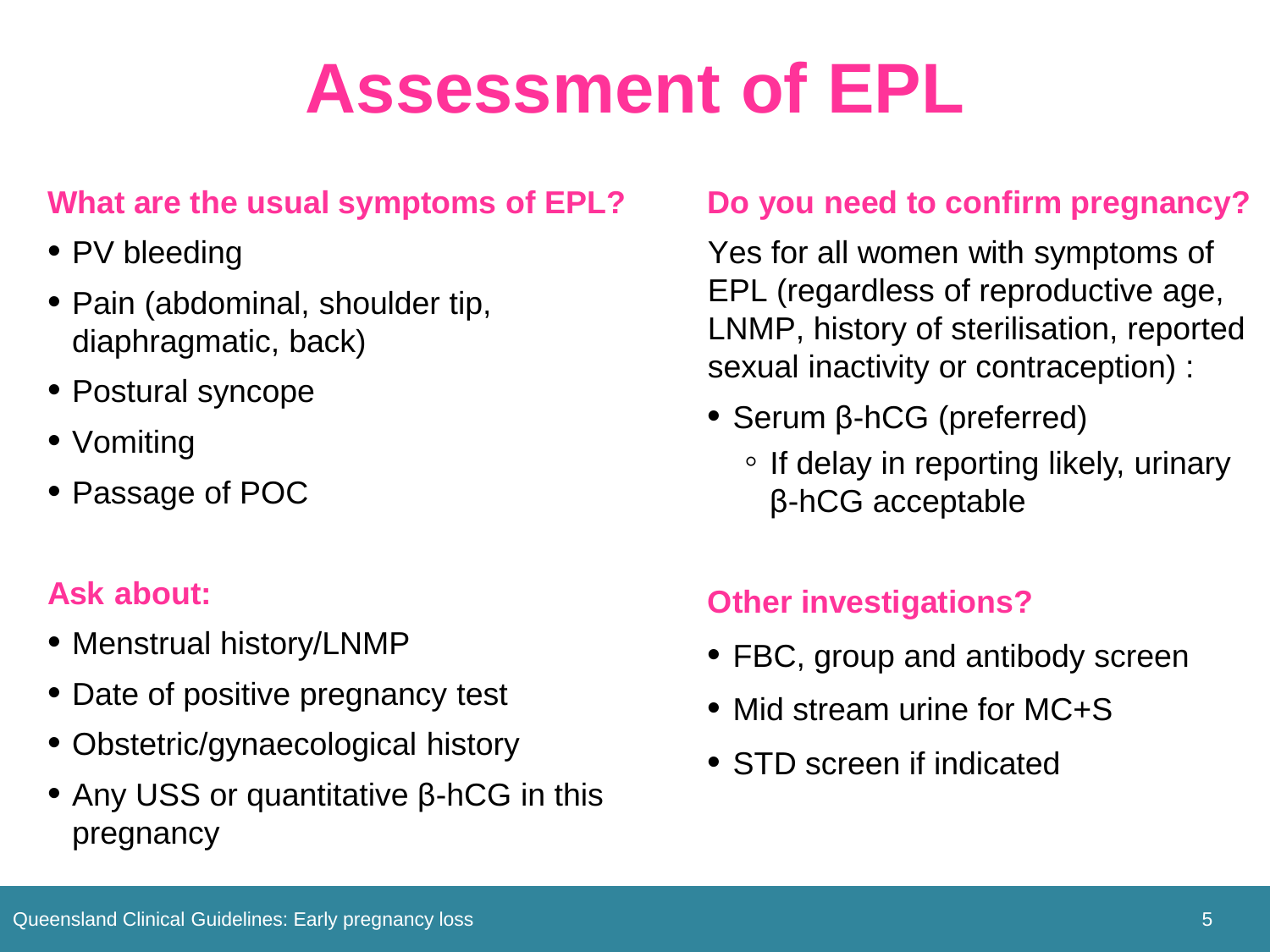### **Assessment of EPL**

#### **What are the usual symptoms of EPL?**

- PV bleeding
- Pain (abdominal, shoulder tip, diaphragmatic, back)
- Postural syncope
- Vomiting
- Passage of POC

### **Ask about:**

- Menstrual history/LNMP
- Date of positive pregnancy test
- Obstetric/gynaecological history
- Any USS or quantitative β-hCG in this pregnancy

#### **Do you need to confirm pregnancy?**

Yes for all women with symptoms of EPL (regardless of reproductive age, LNMP, history of sterilisation, reported sexual inactivity or contraception) :

- Serum β-hCG (preferred)
	- If delay in reporting likely, urinary β-hCG acceptable

### **Other investigations?**

- FBC, group and antibody screen
- Mid stream urine for MC+S
- STD screen if indicated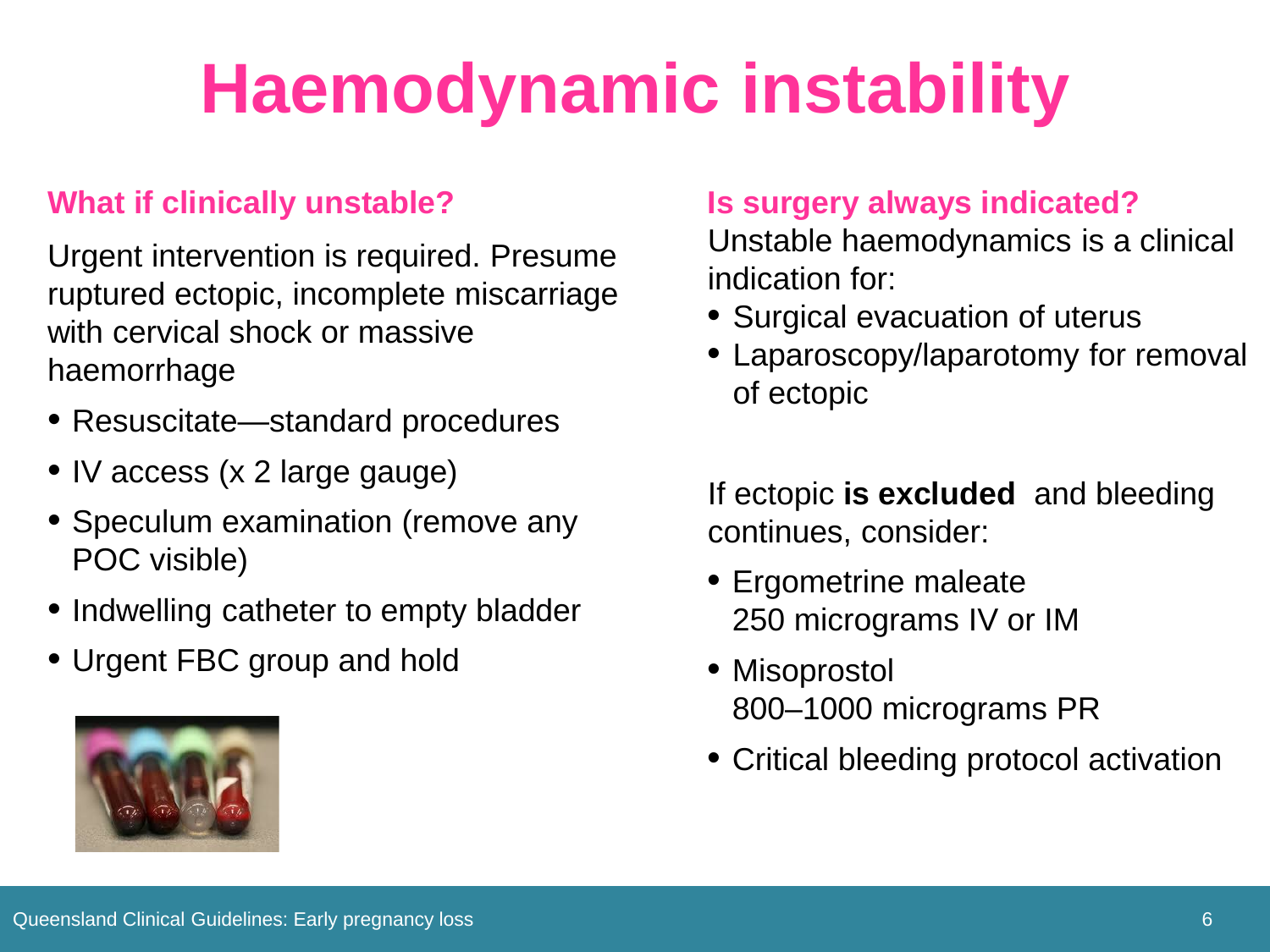# **Haemodynamic instability**

#### **What if clinically unstable?**

Urgent intervention is required. Presume ruptured ectopic, incomplete miscarriage with cervical shock or massive haemorrhage

- Resuscitate—standard procedures
- IV access (x 2 large gauge)
- Speculum examination (remove any POC visible)
- Indwelling catheter to empty bladder
- Urgent FBC group and hold



#### **Is surgery always indicated?**

Unstable haemodynamics is a clinical indication for:

- Surgical evacuation of uterus
- Laparoscopy/laparotomy for removal of ectopic

If ectopic **is excluded** and bleeding continues, consider:

- Ergometrine maleate 250 micrograms IV or IM
- Misoprostol 800–1000 micrograms PR
- Critical bleeding protocol activation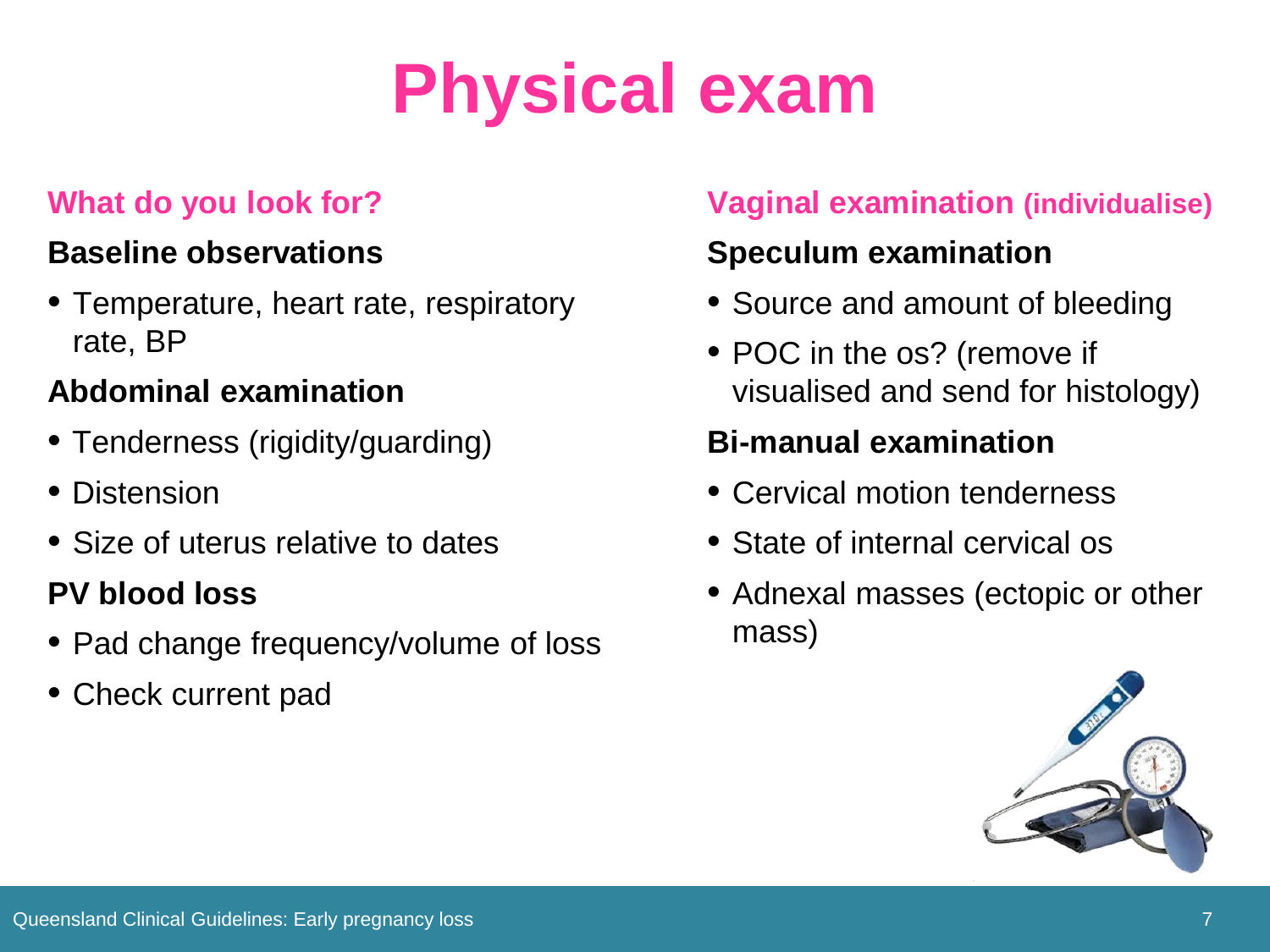# **Physical exam**

#### **What do you look for?**

#### **Baseline observations**

• Temperature, heart rate, respiratory rate, BP

#### **Abdominal examination**

- Tenderness (rigidity/guarding)
- Distension
- Size of uterus relative to dates

### **PV blood loss**

- Pad change frequency/volume of loss
- Check current pad

### **Vaginal examination (individualise)**

### **Speculum examination**

- Source and amount of bleeding
- POC in the os? (remove if visualised and send for histology)

### **Bi-manual examination**

- Cervical motion tenderness
- State of internal cervical os
- Adnexal masses (ectopic or other mass)

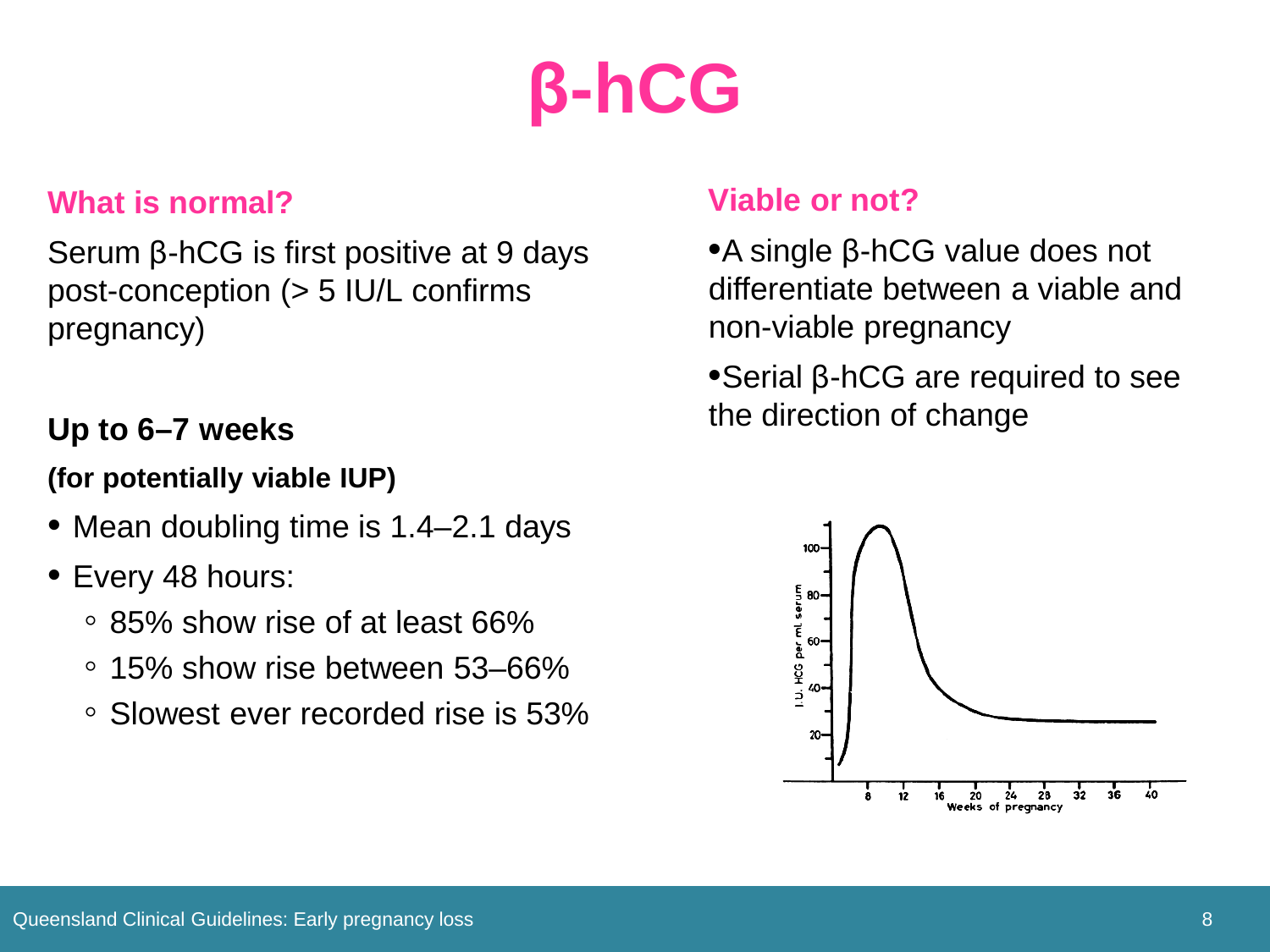## **β-hCG**

#### **What is normal?**

Serum β-hCG is first positive at 9 days post-conception (> 5 IU/L confirms pregnancy)

#### **Up to 6–7 weeks**

#### **(for potentially viable IUP)**

- Mean doubling time is 1.4–2.1 days
- Every 48 hours:
	- 85% show rise of at least 66%
	- 15% show rise between 53–66%
	- Slowest ever recorded rise is 53%

#### **Viable or not?**

• A single β-hCG value does not differentiate between a viable and non-viable pregnancy

•Serial β-hCG are required to see the direction of change

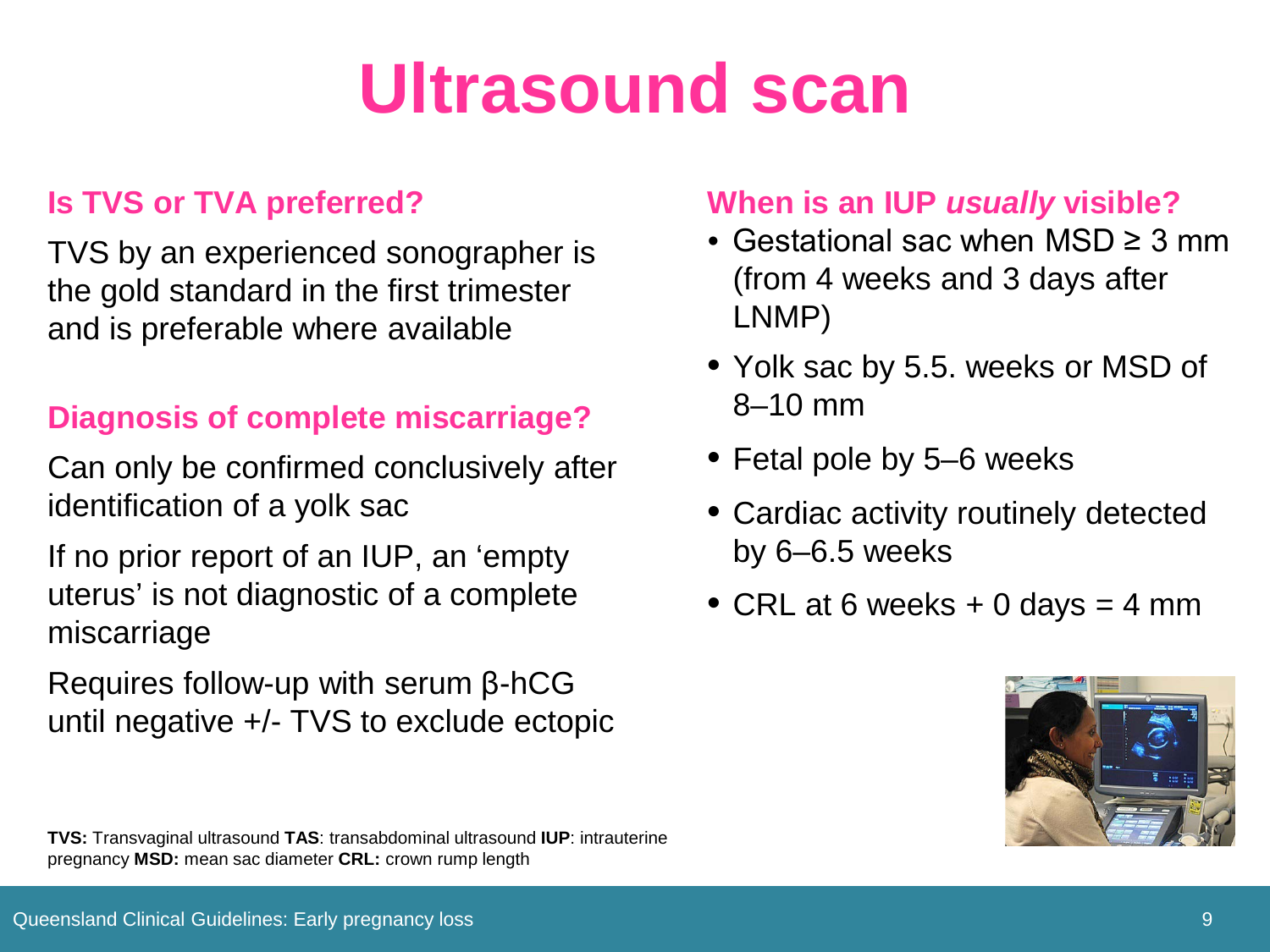### **Ultrasound scan**

#### **Is TVS or TVA preferred?**

TVS by an experienced sonographer is the gold standard in the first trimester and is preferable where available

#### **Diagnosis of complete miscarriage?**

Can only be confirmed conclusively after identification of a yolk sac

If no prior report of an IUP, an 'empty uterus' is not diagnostic of a complete miscarriage

Requires follow-up with serum β-hCG until negative +/- TVS to exclude ectopic

#### **When is an IUP** *usually* **visible?**

- Gestational sac when MSD ≥ 3 mm (from 4 weeks and 3 days after LNMP)
- Yolk sac by 5.5. weeks or MSD of 8–10 mm
- Fetal pole by 5–6 weeks
- Cardiac activity routinely detected by 6–6.5 weeks
- CRL at 6 weeks  $+0$  days  $=$  4 mm



**TVS:** Transvaginal ultrasound **TAS**: transabdominal ultrasound **IUP**: intrauterine pregnancy **MSD:** mean sac diameter **CRL:** crown rump length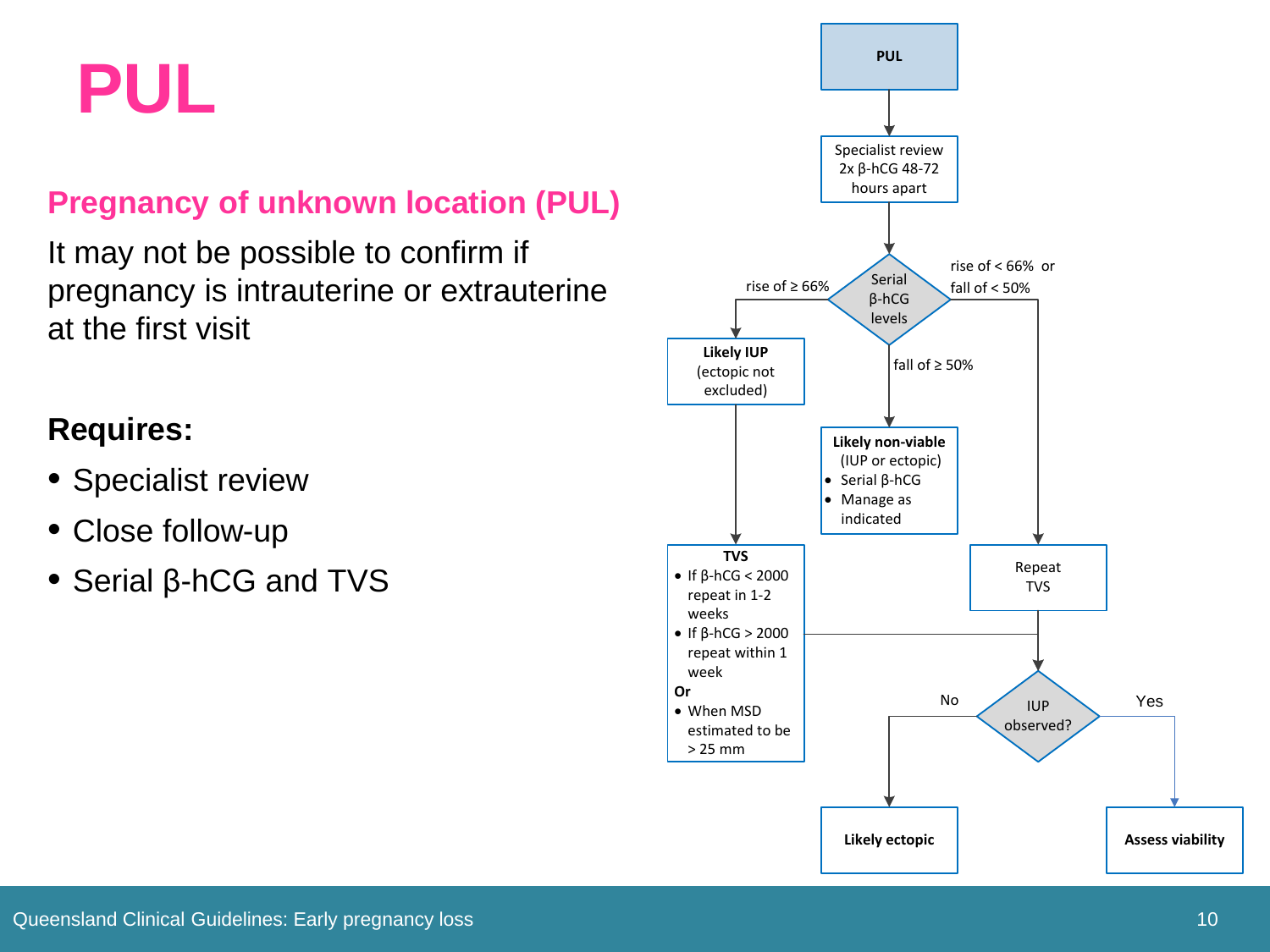**PUL**

#### **Pregnancy of unknown location (PUL)**

It may not be possible to confirm if pregnancy is intrauterine or extrauterine at the first visit

#### **Requires:**

- Specialist review
- Close follow-up
- Serial β-hCG and TVS

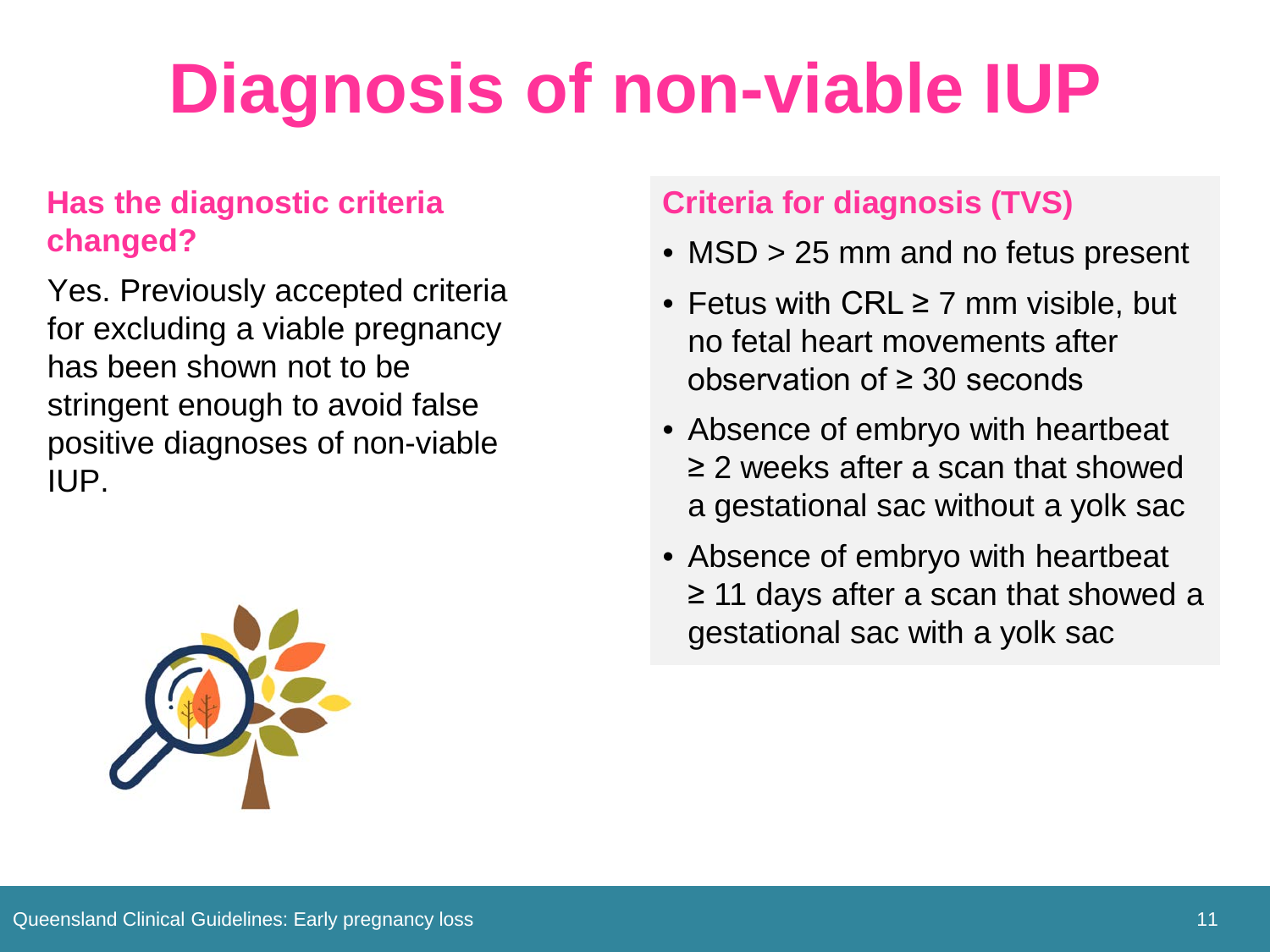# **Diagnosis of non-viable IUP**

#### **Has the diagnostic criteria changed?**

Yes. Previously accepted criteria for excluding a viable pregnancy has been shown not to be stringent enough to avoid false positive diagnoses of non-viable IUP.



#### **Criteria for diagnosis (TVS)**

- MSD > 25 mm and no fetus present
- Fetus with CRL ≥ 7 mm visible, but no fetal heart movements after observation of ≥ 30 seconds
- Absence of embryo with heartbeat ≥ 2 weeks after a scan that showed a gestational sac without a yolk sac
- Absence of embryo with heartbeat ≥ 11 days after a scan that showed a gestational sac with a yolk sac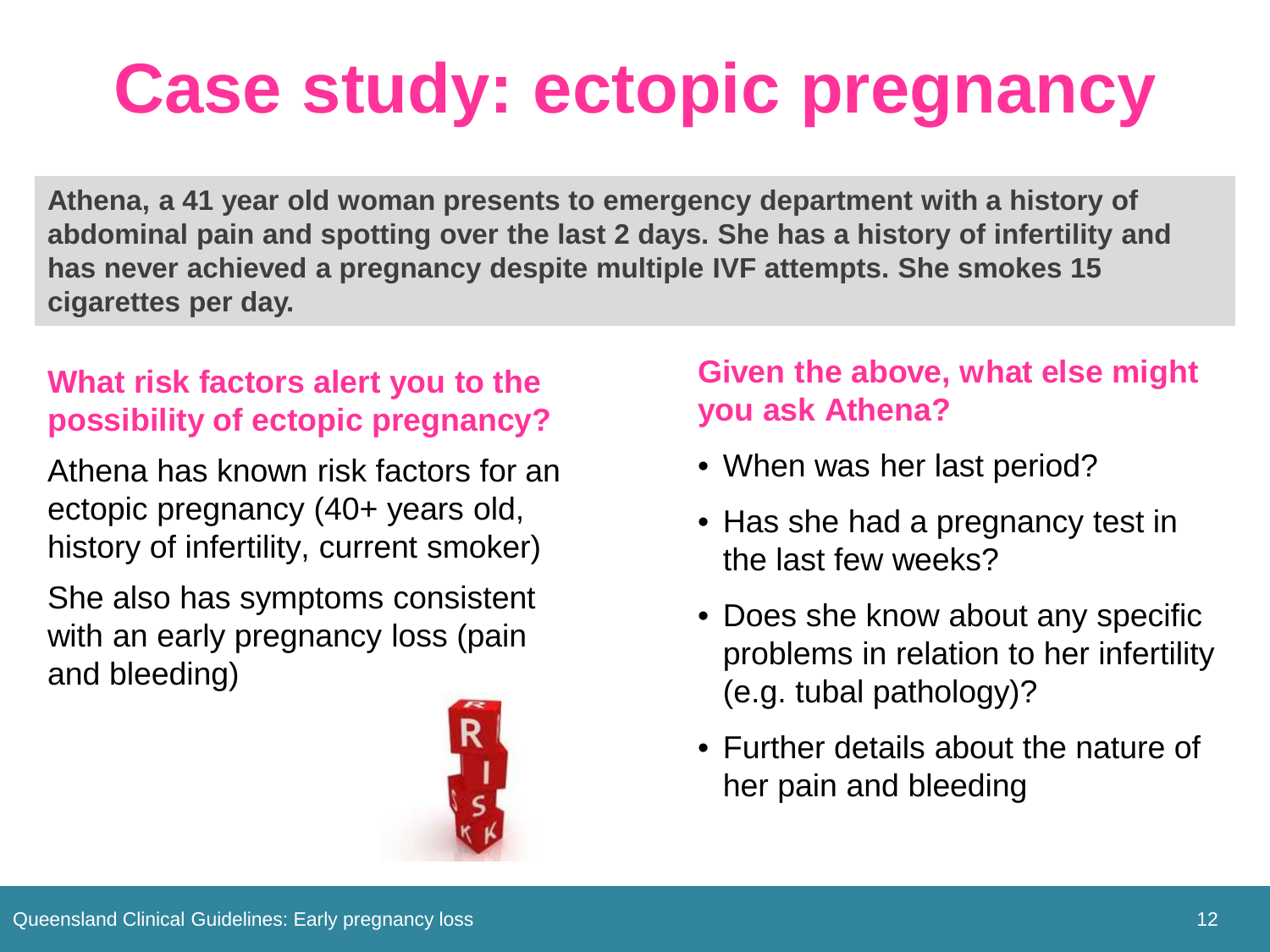## **Case study: ectopic pregnancy**

**Athena, a 41 year old woman presents to emergency department with a history of abdominal pain and spotting over the last 2 days. She has a history of infertility and has never achieved a pregnancy despite multiple IVF attempts. She smokes 15 cigarettes per day.**

#### **What risk factors alert you to the possibility of ectopic pregnancy?**

Athena has known risk factors for an ectopic pregnancy (40+ years old, history of infertility, current smoker)

She also has symptoms consistent with an early pregnancy loss (pain and bleeding)



#### **Given the above, what else might you ask Athena?**

- When was her last period?
- Has she had a pregnancy test in the last few weeks?
- Does she know about any specific problems in relation to her infertility (e.g. tubal pathology)?
- Further details about the nature of her pain and bleeding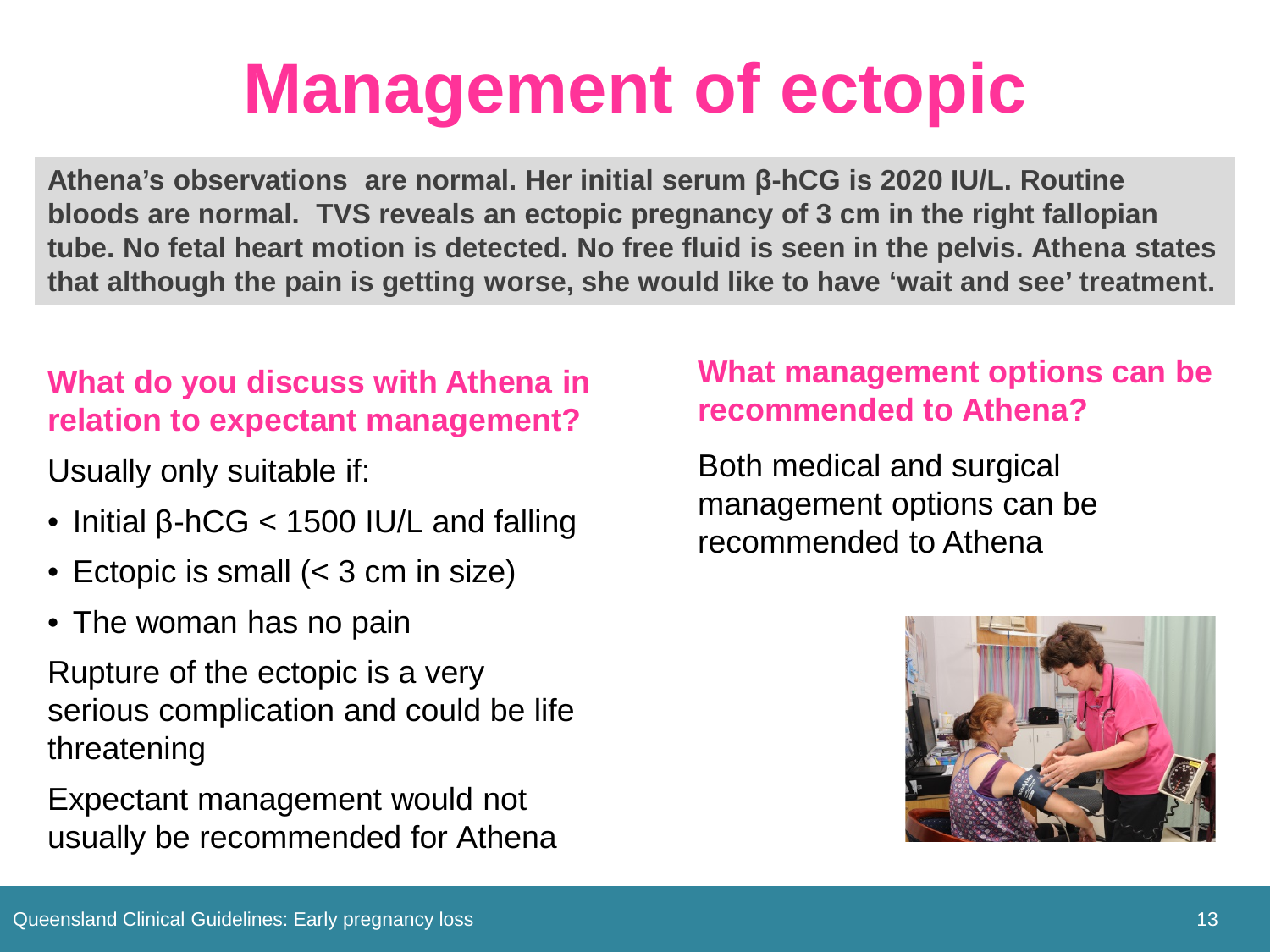### **Management of ectopic**

**Athena's observations are normal. Her initial serum β-hCG is 2020 IU/L. Routine bloods are normal. TVS reveals an ectopic pregnancy of 3 cm in the right fallopian tube. No fetal heart motion is detected. No free fluid is seen in the pelvis. Athena states that although the pain is getting worse, she would like to have 'wait and see' treatment.**

#### **What do you discuss with Athena in relation to expectant management?**

Usually only suitable if:

- Initial β-hCG < 1500 IU/L and falling
- Ectopic is small (< 3 cm in size)
- The woman has no pain

Rupture of the ectopic is a very serious complication and could be life threatening

Expectant management would not usually be recommended for Athena

#### **What management options can be recommended to Athena?**

Both medical and surgical management options can be recommended to Athena

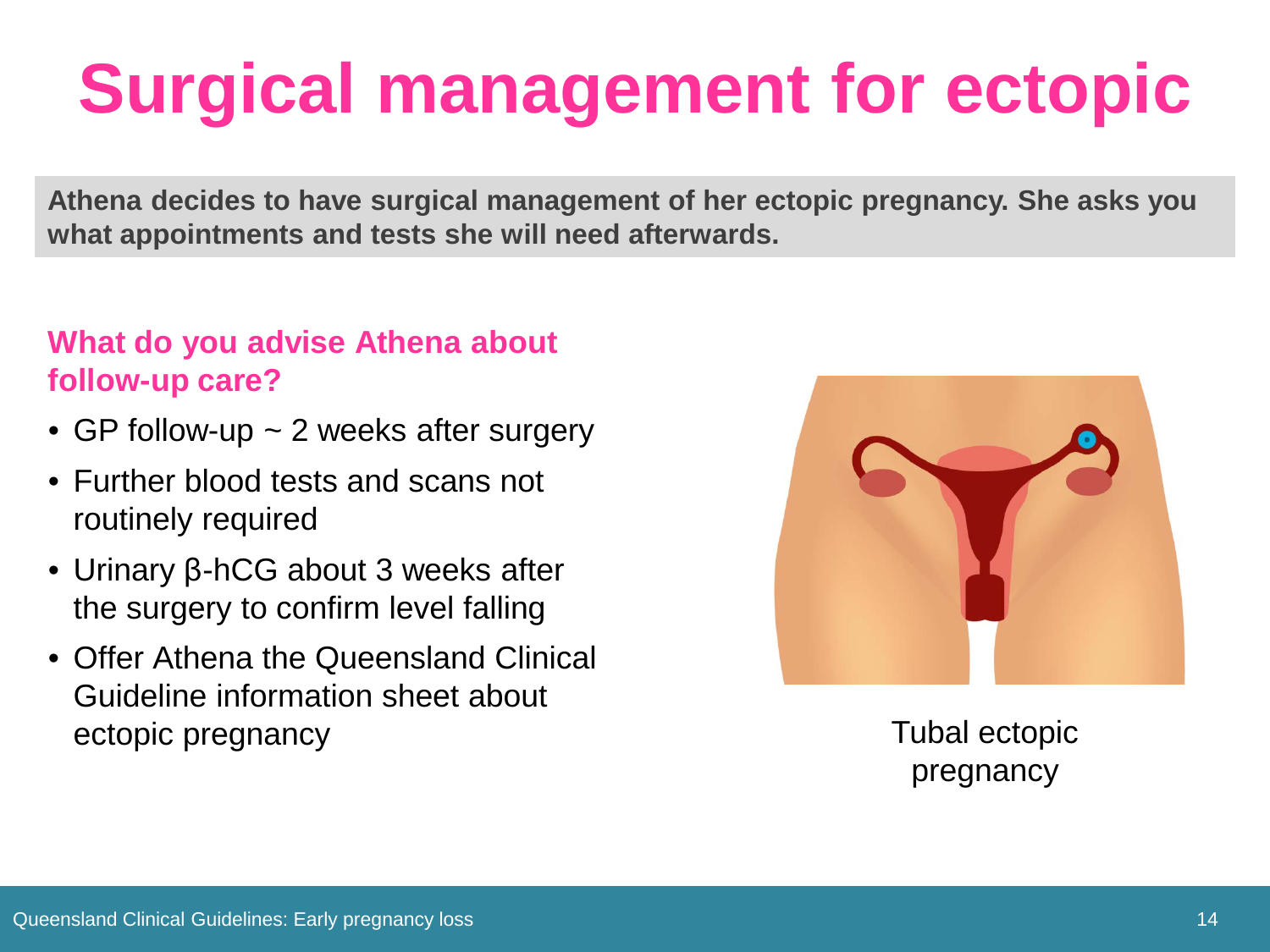# **Surgical management for ectopic**

**Athena decides to have surgical management of her ectopic pregnancy. She asks you what appointments and tests she will need afterwards.**

#### **What do you advise Athena about follow-up care?**

- GP follow-up ~ 2 weeks after surgery
- Further blood tests and scans not routinely required
- Urinary β-hCG about 3 weeks after the surgery to confirm level falling
- Offer Athena the Queensland Clinical Guideline information sheet about ectopic pregnancy and the contract of the contract of the contract of the contract of the contract of the contract of the contract of the contract of the contract of the contract of the contract of the contract of the cont



pregnancy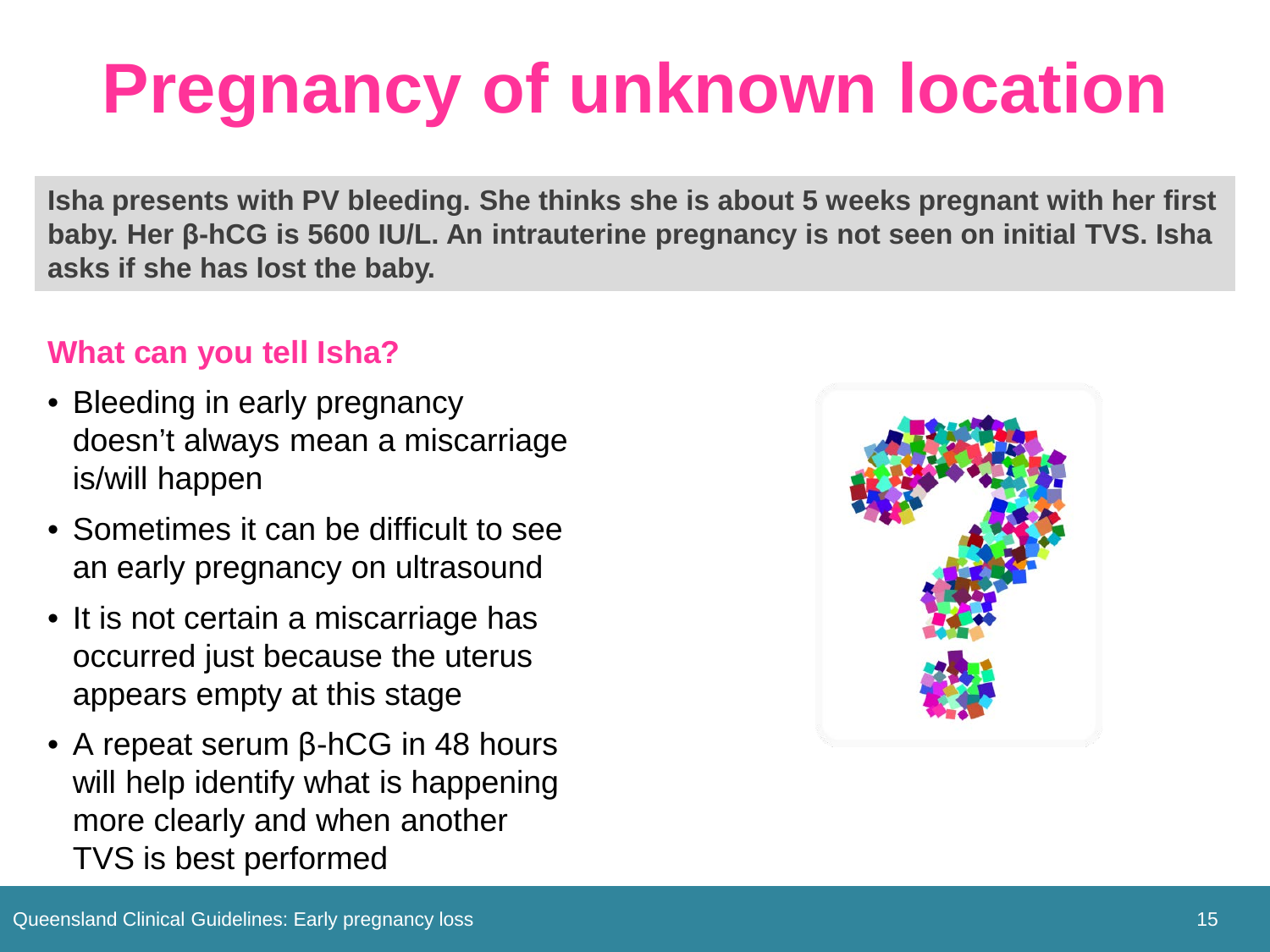# **Pregnancy of unknown location**

**Isha presents with PV bleeding. She thinks she is about 5 weeks pregnant with her first baby. Her β-hCG is 5600 IU/L. An intrauterine pregnancy is not seen on initial TVS. Isha asks if she has lost the baby.**

#### **What can you tell Isha?**

- Bleeding in early pregnancy doesn't always mean a miscarriage is/will happen
- Sometimes it can be difficult to see an early pregnancy on ultrasound
- It is not certain a miscarriage has occurred just because the uterus appears empty at this stage
- A repeat serum β-hCG in 48 hours will help identify what is happening more clearly and when another TVS is best performed

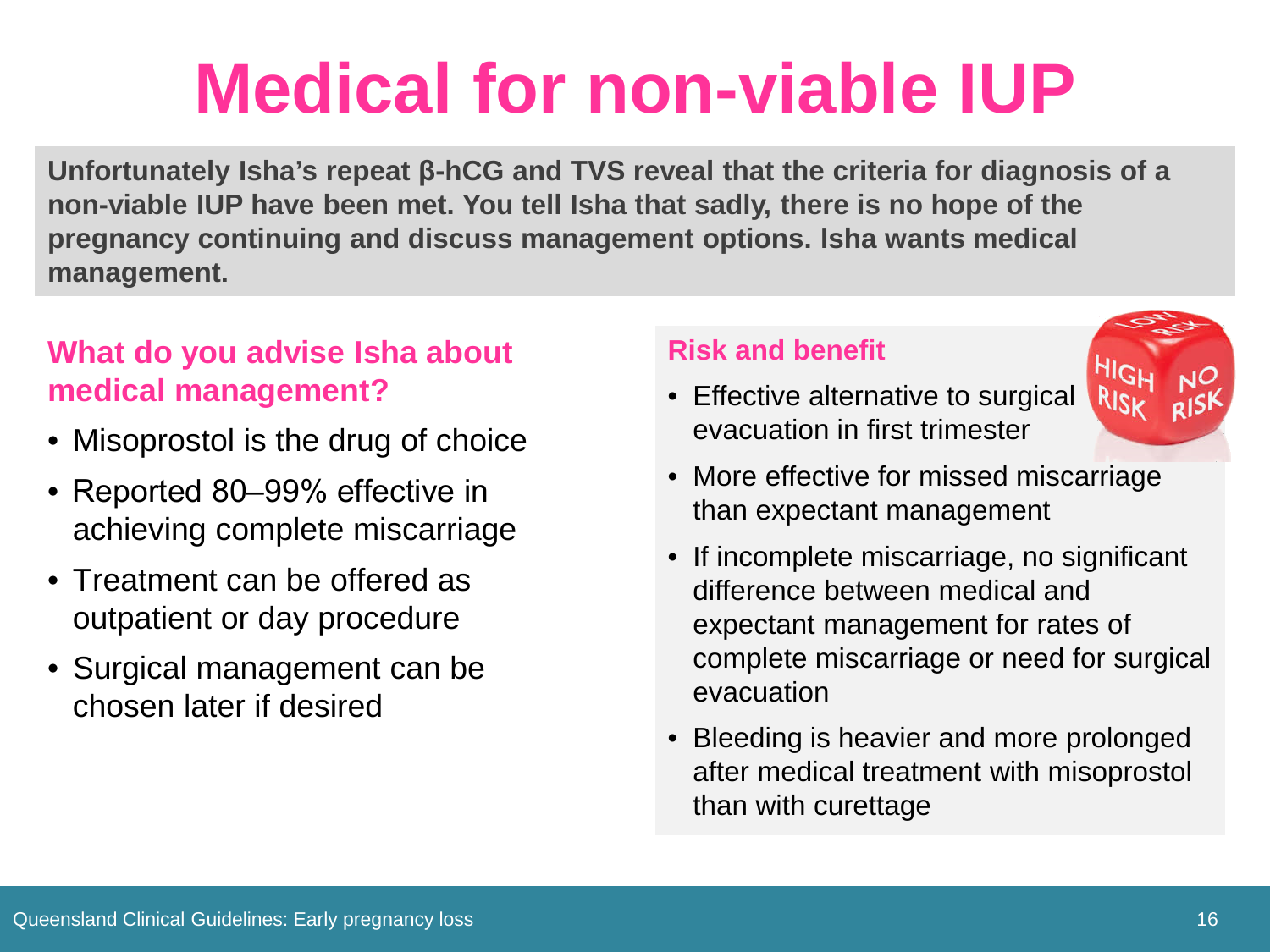### **Medical for non-viable IUP**

**Unfortunately Isha's repeat β-hCG and TVS reveal that the criteria for diagnosis of a non-viable IUP have been met. You tell Isha that sadly, there is no hope of the pregnancy continuing and discuss management options. Isha wants medical management.** 

#### **What do you advise Isha about medical management?**

- Misoprostol is the drug of choice
- Reported 80–99% effective in achieving complete miscarriage
- Treatment can be offered as outpatient or day procedure
- Surgical management can be chosen later if desired

#### **Risk and benefit**

• Effective alternative to surgical evacuation in first trimester



- More effective for missed miscarriage than expectant management
- If incomplete miscarriage, no significant difference between medical and expectant management for rates of complete miscarriage or need for surgical evacuation
- Bleeding is heavier and more prolonged after medical treatment with misoprostol than with curettage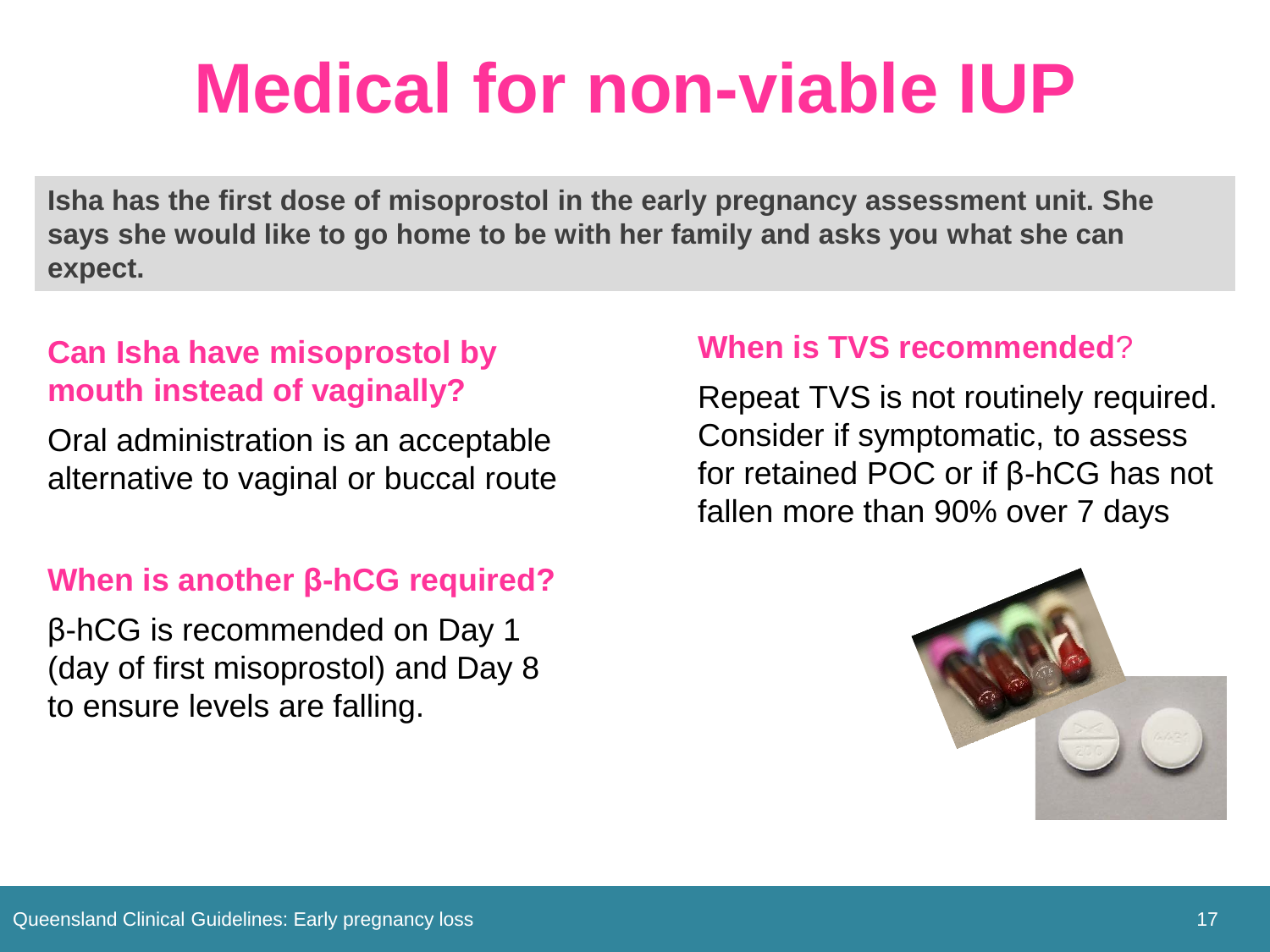### **Medical for non-viable IUP**

**Isha has the first dose of misoprostol in the early pregnancy assessment unit. She says she would like to go home to be with her family and asks you what she can expect.**

#### **Can Isha have misoprostol by mouth instead of vaginally?**

Oral administration is an acceptable alternative to vaginal or buccal route

#### **When is another β-hCG required?**

β-hCG is recommended on Day 1 (day of first misoprostol) and Day 8 to ensure levels are falling.

#### **When is TVS recommended**?

Repeat TVS is not routinely required. Consider if symptomatic, to assess for retained POC or if β-hCG has not fallen more than 90% over 7 days

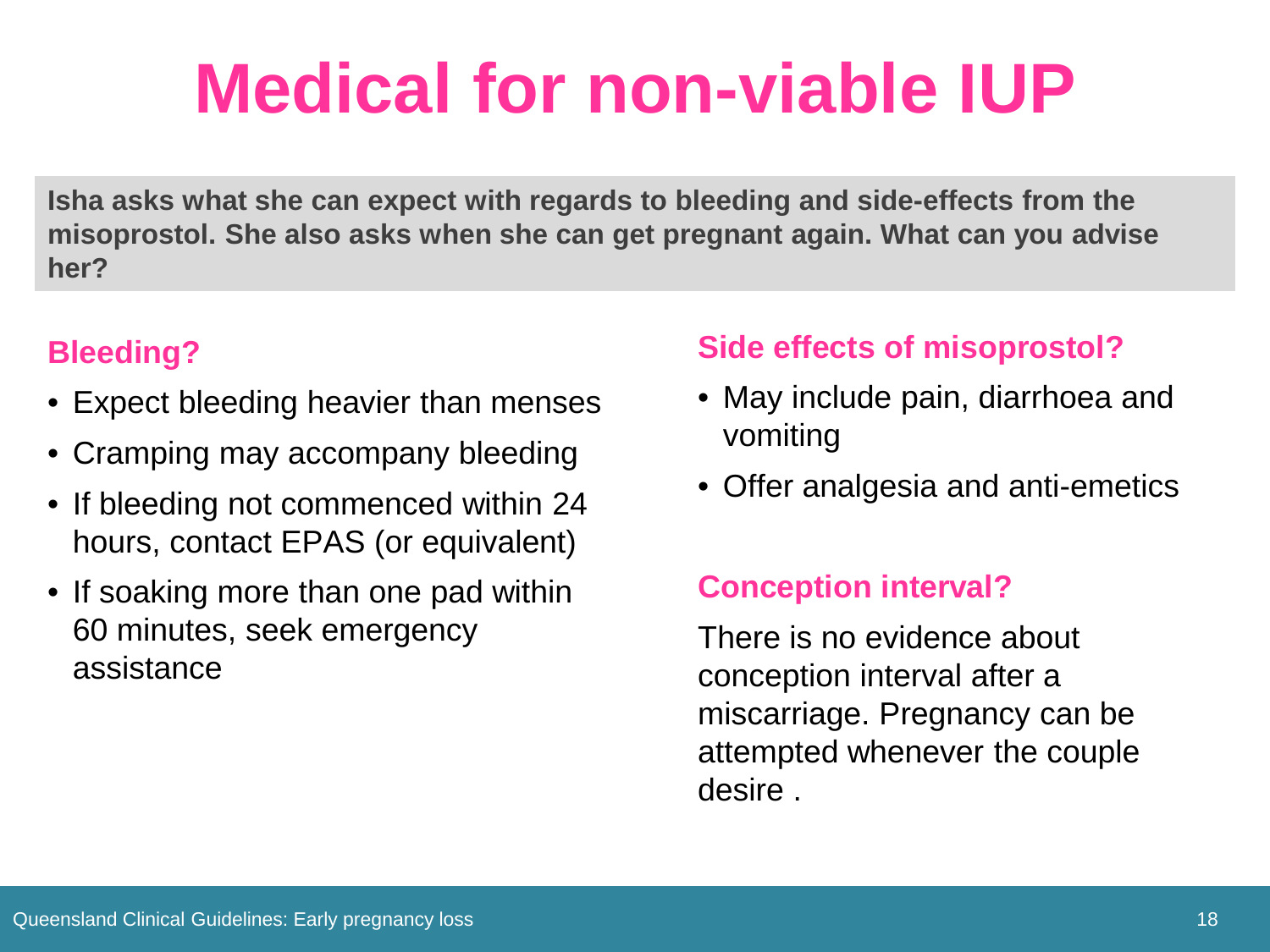### **Medical for non-viable IUP**

**Isha asks what she can expect with regards to bleeding and side-effects from the misoprostol. She also asks when she can get pregnant again. What can you advise her?**

#### **Bleeding?**

- Expect bleeding heavier than menses
- Cramping may accompany bleeding
- If bleeding not commenced within 24 hours, contact EPAS (or equivalent)
- If soaking more than one pad within 60 minutes, seek emergency assistance

#### **Side effects of misoprostol?**

- May include pain, diarrhoea and vomiting
- Offer analgesia and anti-emetics

#### **Conception interval?**

There is no evidence about conception interval after a miscarriage. Pregnancy can be attempted whenever the couple desire .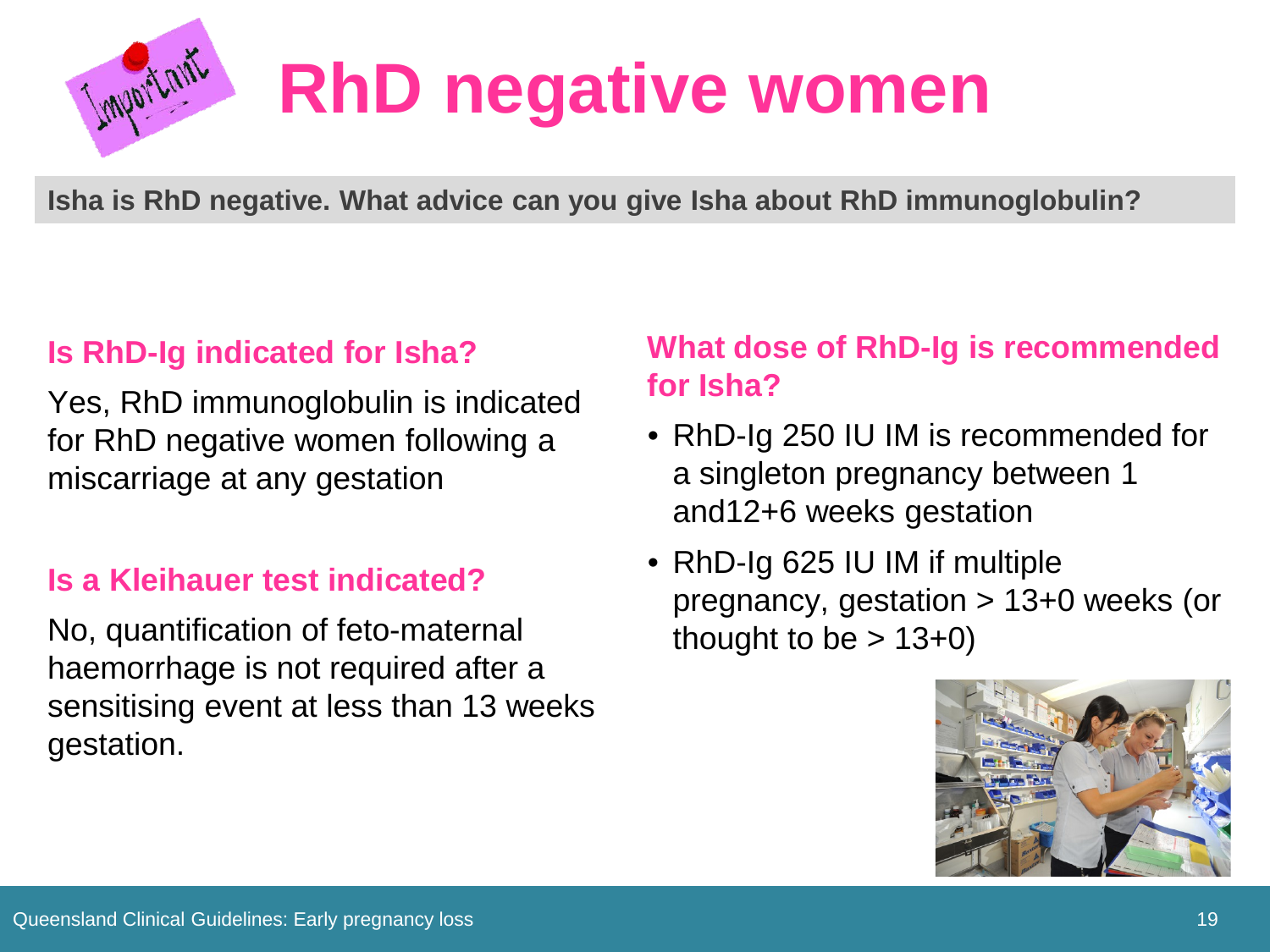

# **RhD negative women**

**Isha is RhD negative. What advice can you give Isha about RhD immunoglobulin?**

#### **Is RhD-Ig indicated for Isha?**

Yes, RhD immunoglobulin is indicated for RhD negative women following a miscarriage at any gestation

#### **Is a Kleihauer test indicated?**

No, quantification of feto-maternal haemorrhage is not required after a sensitising event at less than 13 weeks gestation.

#### **What dose of RhD-Ig is recommended for Isha?**

- RhD-Ig 250 IU IM is recommended for a singleton pregnancy between 1 and12+6 weeks gestation
- RhD-Ig 625 IU IM if multiple pregnancy, gestation > 13+0 weeks (or thought to be  $> 13+0$ )